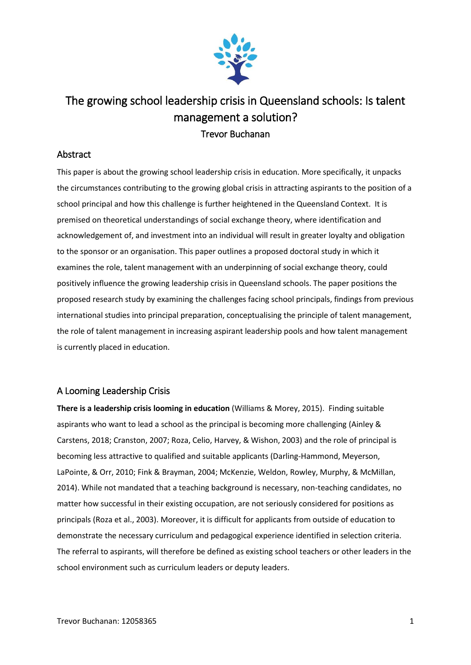

# The growing school leadership crisis in Queensland schools: Is talent management a solution? Trevor Buchanan

# Abstract

This paper is about the growing school leadership crisis in education. More specifically, it unpacks the circumstances contributing to the growing global crisis in attracting aspirants to the position of a school principal and how this challenge is further heightened in the Queensland Context. It is premised on theoretical understandings of social exchange theory, where identification and acknowledgement of, and investment into an individual will result in greater loyalty and obligation to the sponsor or an organisation. This paper outlines a proposed doctoral study in which it examines the role, talent management with an underpinning of social exchange theory, could positively influence the growing leadership crisis in Queensland schools. The paper positions the proposed research study by examining the challenges facing school principals, findings from previous international studies into principal preparation, conceptualising the principle of talent management, the role of talent management in increasing aspirant leadership pools and how talent management is currently placed in education.

# A Looming Leadership Crisis

**There is a leadership crisis looming in education** (Williams & Morey, 2015). Finding suitable aspirants who want to lead a school as the principal is becoming more challenging (Ainley & Carstens, 2018; Cranston, 2007; Roza, Celio, Harvey, & Wishon, 2003) and the role of principal is becoming less attractive to qualified and suitable applicants (Darling-Hammond, Meyerson, LaPointe, & Orr, 2010; Fink & Brayman, 2004; McKenzie, Weldon, Rowley, Murphy, & McMillan, 2014). While not mandated that a teaching background is necessary, non-teaching candidates, no matter how successful in their existing occupation, are not seriously considered for positions as principals (Roza et al., 2003). Moreover, it is difficult for applicants from outside of education to demonstrate the necessary curriculum and pedagogical experience identified in selection criteria. The referral to aspirants, will therefore be defined as existing school teachers or other leaders in the school environment such as curriculum leaders or deputy leaders.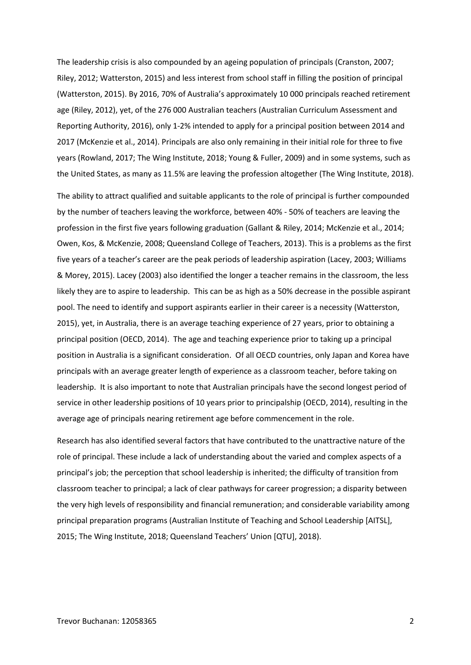The leadership crisis is also compounded by an ageing population of principals (Cranston, 2007; Riley, 2012; Watterston, 2015) and less interest from school staff in filling the position of principal (Watterston, 2015). By 2016, 70% of Australia's approximately 10 000 principals reached retirement age (Riley, 2012), yet, of the 276 000 Australian teachers (Australian Curriculum Assessment and Reporting Authority, 2016), only 1-2% intended to apply for a principal position between 2014 and 2017 (McKenzie et al., 2014). Principals are also only remaining in their initial role for three to five years (Rowland, 2017; The Wing Institute, 2018; Young & Fuller, 2009) and in some systems, such as the United States, as many as 11.5% are leaving the profession altogether (The Wing Institute, 2018).

The ability to attract qualified and suitable applicants to the role of principal is further compounded by the number of teachers leaving the workforce, between 40% - 50% of teachers are leaving the profession in the first five years following graduation (Gallant & Riley, 2014; McKenzie et al., 2014; Owen, Kos, & McKenzie, 2008; Queensland College of Teachers, 2013). This is a problems as the first five years of a teacher's career are the peak periods of leadership aspiration (Lacey, 2003; Williams & Morey, 2015). Lacey (2003) also identified the longer a teacher remains in the classroom, the less likely they are to aspire to leadership. This can be as high as a 50% decrease in the possible aspirant pool. The need to identify and support aspirants earlier in their career is a necessity (Watterston, 2015), yet, in Australia, there is an average teaching experience of 27 years, prior to obtaining a principal position (OECD, 2014). The age and teaching experience prior to taking up a principal position in Australia is a significant consideration. Of all OECD countries, only Japan and Korea have principals with an average greater length of experience as a classroom teacher, before taking on leadership. It is also important to note that Australian principals have the second longest period of service in other leadership positions of 10 years prior to principalship (OECD, 2014), resulting in the average age of principals nearing retirement age before commencement in the role.

Research has also identified several factors that have contributed to the unattractive nature of the role of principal. These include a lack of understanding about the varied and complex aspects of a principal's job; the perception that school leadership is inherited; the difficulty of transition from classroom teacher to principal; a lack of clear pathways for career progression; a disparity between the very high levels of responsibility and financial remuneration; and considerable variability among principal preparation programs (Australian Institute of Teaching and School Leadership [AITSL], 2015; The Wing Institute, 2018; Queensland Teachers' Union [QTU], 2018).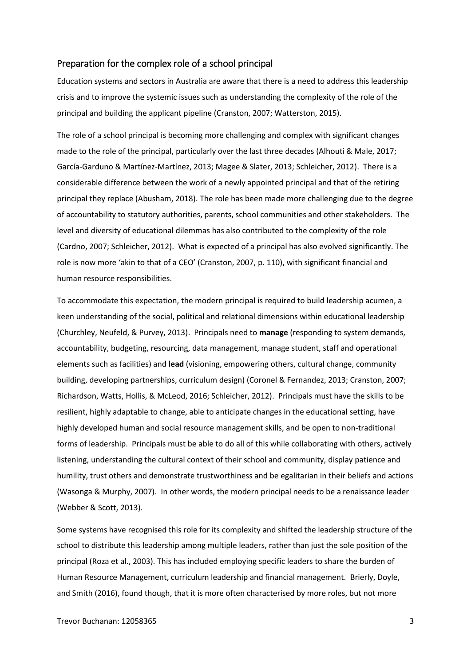### Preparation for the complex role of a school principal

Education systems and sectors in Australia are aware that there is a need to address this leadership crisis and to improve the systemic issues such as understanding the complexity of the role of the principal and building the applicant pipeline (Cranston, 2007; Watterston, 2015).

The role of a school principal is becoming more challenging and complex with significant changes made to the role of the principal, particularly over the last three decades (Alhouti & Male, 2017; García-Garduno & Martínez-Martínez, 2013; Magee & Slater, 2013; Schleicher, 2012). There is a considerable difference between the work of a newly appointed principal and that of the retiring principal they replace (Abusham, 2018). The role has been made more challenging due to the degree of accountability to statutory authorities, parents, school communities and other stakeholders. The level and diversity of educational dilemmas has also contributed to the complexity of the role (Cardno, 2007; Schleicher, 2012). What is expected of a principal has also evolved significantly. The role is now more 'akin to that of a CEO' (Cranston, 2007, p. 110), with significant financial and human resource responsibilities.

To accommodate this expectation, the modern principal is required to build leadership acumen, a keen understanding of the social, political and relational dimensions within educational leadership (Churchley, Neufeld, & Purvey, 2013). Principals need to **manage** (responding to system demands, accountability, budgeting, resourcing, data management, manage student, staff and operational elements such as facilities) and **lead** (visioning, empowering others, cultural change, community building, developing partnerships, curriculum design) (Coronel & Fernandez, 2013; Cranston, 2007; Richardson, Watts, Hollis, & McLeod, 2016; Schleicher, 2012). Principals must have the skills to be resilient, highly adaptable to change, able to anticipate changes in the educational setting, have highly developed human and social resource management skills, and be open to non-traditional forms of leadership. Principals must be able to do all of this while collaborating with others, actively listening, understanding the cultural context of their school and community, display patience and humility, trust others and demonstrate trustworthiness and be egalitarian in their beliefs and actions (Wasonga & Murphy, 2007). In other words, the modern principal needs to be a renaissance leader (Webber & Scott, 2013).

Some systems have recognised this role for its complexity and shifted the leadership structure of the school to distribute this leadership among multiple leaders, rather than just the sole position of the principal (Roza et al., 2003). This has included employing specific leaders to share the burden of Human Resource Management, curriculum leadership and financial management. Brierly, Doyle, and Smith (2016), found though, that it is more often characterised by more roles, but not more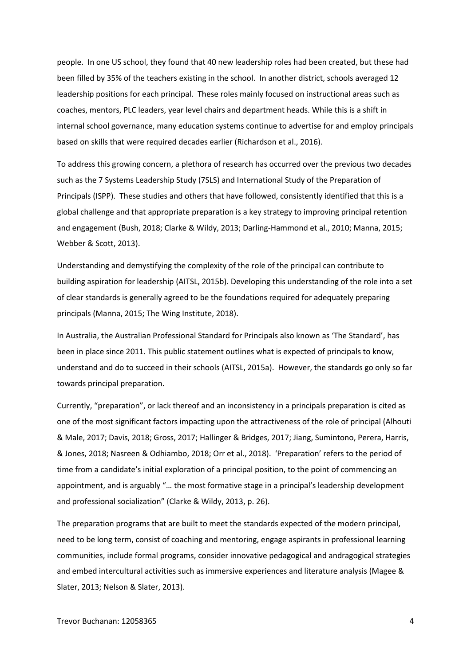people. In one US school, they found that 40 new leadership roles had been created, but these had been filled by 35% of the teachers existing in the school. In another district, schools averaged 12 leadership positions for each principal. These roles mainly focused on instructional areas such as coaches, mentors, PLC leaders, year level chairs and department heads. While this is a shift in internal school governance, many education systems continue to advertise for and employ principals based on skills that were required decades earlier (Richardson et al., 2016).

To address this growing concern, a plethora of research has occurred over the previous two decades such as the 7 Systems Leadership Study (7SLS) and International Study of the Preparation of Principals (ISPP). These studies and others that have followed, consistently identified that this is a global challenge and that appropriate preparation is a key strategy to improving principal retention and engagement (Bush, 2018; Clarke & Wildy, 2013; Darling-Hammond et al., 2010; Manna, 2015; Webber & Scott, 2013).

Understanding and demystifying the complexity of the role of the principal can contribute to building aspiration for leadership (AITSL, 2015b). Developing this understanding of the role into a set of clear standards is generally agreed to be the foundations required for adequately preparing principals (Manna, 2015; The Wing Institute, 2018).

In Australia, the Australian Professional Standard for Principals also known as 'The Standard', has been in place since 2011. This public statement outlines what is expected of principals to know, understand and do to succeed in their schools (AITSL, 2015a). However, the standards go only so far towards principal preparation.

Currently, "preparation", or lack thereof and an inconsistency in a principals preparation is cited as one of the most significant factors impacting upon the attractiveness of the role of principal (Alhouti & Male, 2017; Davis, 2018; Gross, 2017; Hallinger & Bridges, 2017; Jiang, Sumintono, Perera, Harris, & Jones, 2018; Nasreen & Odhiambo, 2018; Orr et al., 2018). 'Preparation' refers to the period of time from a candidate's initial exploration of a principal position, to the point of commencing an appointment, and is arguably "… the most formative stage in a principal's leadership development and professional socialization" (Clarke & Wildy, 2013, p. 26).

The preparation programs that are built to meet the standards expected of the modern principal, need to be long term, consist of coaching and mentoring, engage aspirants in professional learning communities, include formal programs, consider innovative pedagogical and andragogical strategies and embed intercultural activities such as immersive experiences and literature analysis (Magee & Slater, 2013; Nelson & Slater, 2013).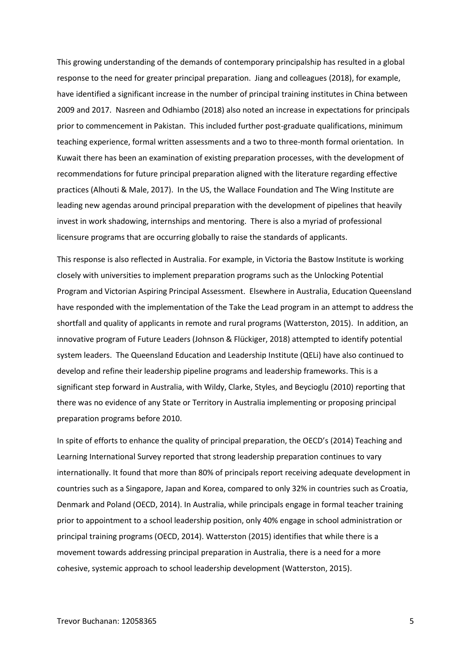This growing understanding of the demands of contemporary principalship has resulted in a global response to the need for greater principal preparation. Jiang and colleagues (2018), for example, have identified a significant increase in the number of principal training institutes in China between 2009 and 2017. Nasreen and Odhiambo (2018) also noted an increase in expectations for principals prior to commencement in Pakistan. This included further post-graduate qualifications, minimum teaching experience, formal written assessments and a two to three-month formal orientation. In Kuwait there has been an examination of existing preparation processes, with the development of recommendations for future principal preparation aligned with the literature regarding effective practices (Alhouti & Male, 2017). In the US, the Wallace Foundation and The Wing Institute are leading new agendas around principal preparation with the development of pipelines that heavily invest in work shadowing, internships and mentoring. There is also a myriad of professional licensure programs that are occurring globally to raise the standards of applicants.

This response is also reflected in Australia. For example, in Victoria the Bastow Institute is working closely with universities to implement preparation programs such as the Unlocking Potential Program and Victorian Aspiring Principal Assessment. Elsewhere in Australia, Education Queensland have responded with the implementation of the Take the Lead program in an attempt to address the shortfall and quality of applicants in remote and rural programs (Watterston, 2015). In addition, an innovative program of Future Leaders (Johnson & Flückiger, 2018) attempted to identify potential system leaders. The Queensland Education and Leadership Institute (QELi) have also continued to develop and refine their leadership pipeline programs and leadership frameworks. This is a significant step forward in Australia, with Wildy, Clarke, Styles, and Beycioglu (2010) reporting that there was no evidence of any State or Territory in Australia implementing or proposing principal preparation programs before 2010.

In spite of efforts to enhance the quality of principal preparation, the OECD's (2014) Teaching and Learning International Survey reported that strong leadership preparation continues to vary internationally. It found that more than 80% of principals report receiving adequate development in countries such as a Singapore, Japan and Korea, compared to only 32% in countries such as Croatia, Denmark and Poland (OECD, 2014). In Australia, while principals engage in formal teacher training prior to appointment to a school leadership position, only 40% engage in school administration or principal training programs (OECD, 2014). Watterston (2015) identifies that while there is a movement towards addressing principal preparation in Australia, there is a need for a more cohesive, systemic approach to school leadership development (Watterston, 2015).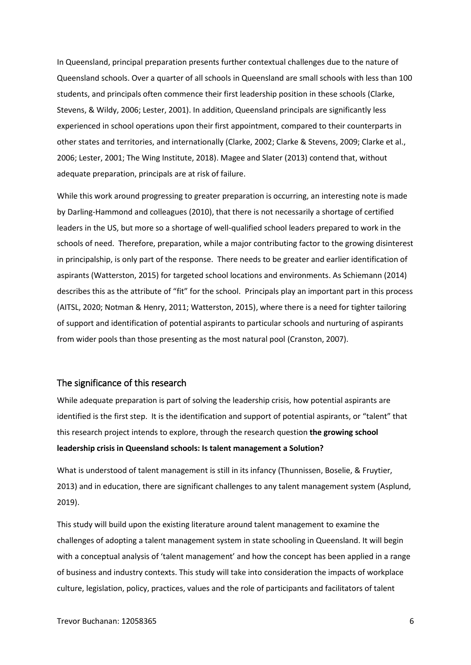In Queensland, principal preparation presents further contextual challenges due to the nature of Queensland schools. Over a quarter of all schools in Queensland are small schools with less than 100 students, and principals often commence their first leadership position in these schools (Clarke, Stevens, & Wildy, 2006; Lester, 2001). In addition, Queensland principals are significantly less experienced in school operations upon their first appointment, compared to their counterparts in other states and territories, and internationally (Clarke, 2002; Clarke & Stevens, 2009; Clarke et al., 2006; Lester, 2001; The Wing Institute, 2018). Magee and Slater (2013) contend that, without adequate preparation, principals are at risk of failure.

While this work around progressing to greater preparation is occurring, an interesting note is made by Darling-Hammond and colleagues (2010), that there is not necessarily a shortage of certified leaders in the US, but more so a shortage of well-qualified school leaders prepared to work in the schools of need. Therefore, preparation, while a major contributing factor to the growing disinterest in principalship, is only part of the response. There needs to be greater and earlier identification of aspirants (Watterston, 2015) for targeted school locations and environments. As Schiemann (2014) describes this as the attribute of "fit" for the school. Principals play an important part in this process (AITSL, 2020; Notman & Henry, 2011; Watterston, 2015), where there is a need for tighter tailoring of support and identification of potential aspirants to particular schools and nurturing of aspirants from wider pools than those presenting as the most natural pool (Cranston, 2007).

### The significance of this research

While adequate preparation is part of solving the leadership crisis, how potential aspirants are identified is the first step. It is the identification and support of potential aspirants, or "talent" that this research project intends to explore, through the research question **the growing school leadership crisis in Queensland schools: Is talent management a Solution?** 

What is understood of talent management is still in its infancy (Thunnissen, Boselie, & Fruytier, 2013) and in education, there are significant challenges to any talent management system (Asplund, 2019).

This study will build upon the existing literature around talent management to examine the challenges of adopting a talent management system in state schooling in Queensland. It will begin with a conceptual analysis of 'talent management' and how the concept has been applied in a range of business and industry contexts. This study will take into consideration the impacts of workplace culture, legislation, policy, practices, values and the role of participants and facilitators of talent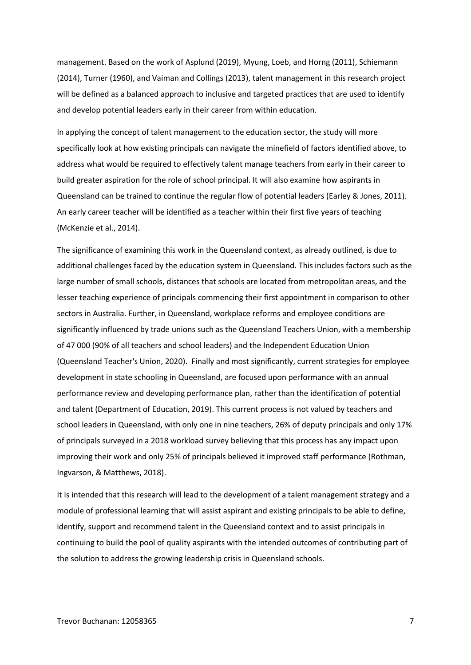management. Based on the work of Asplund (2019), Myung, Loeb, and Horng (2011), Schiemann (2014), Turner (1960), and Vaiman and Collings (2013), talent management in this research project will be defined as a balanced approach to inclusive and targeted practices that are used to identify and develop potential leaders early in their career from within education.

In applying the concept of talent management to the education sector, the study will more specifically look at how existing principals can navigate the minefield of factors identified above, to address what would be required to effectively talent manage teachers from early in their career to build greater aspiration for the role of school principal. It will also examine how aspirants in Queensland can be trained to continue the regular flow of potential leaders (Earley & Jones, 2011). An early career teacher will be identified as a teacher within their first five years of teaching (McKenzie et al., 2014).

The significance of examining this work in the Queensland context, as already outlined, is due to additional challenges faced by the education system in Queensland. This includes factors such as the large number of small schools, distances that schools are located from metropolitan areas, and the lesser teaching experience of principals commencing their first appointment in comparison to other sectors in Australia. Further, in Queensland, workplace reforms and employee conditions are significantly influenced by trade unions such as the Queensland Teachers Union, with a membership of 47 000 (90% of all teachers and school leaders) and the Independent Education Union (Queensland Teacher's Union, 2020). Finally and most significantly, current strategies for employee development in state schooling in Queensland, are focused upon performance with an annual performance review and developing performance plan, rather than the identification of potential and talent (Department of Education, 2019). This current process is not valued by teachers and school leaders in Queensland, with only one in nine teachers, 26% of deputy principals and only 17% of principals surveyed in a 2018 workload survey believing that this process has any impact upon improving their work and only 25% of principals believed it improved staff performance (Rothman, Ingvarson, & Matthews, 2018).

It is intended that this research will lead to the development of a talent management strategy and a module of professional learning that will assist aspirant and existing principals to be able to define, identify, support and recommend talent in the Queensland context and to assist principals in continuing to build the pool of quality aspirants with the intended outcomes of contributing part of the solution to address the growing leadership crisis in Queensland schools.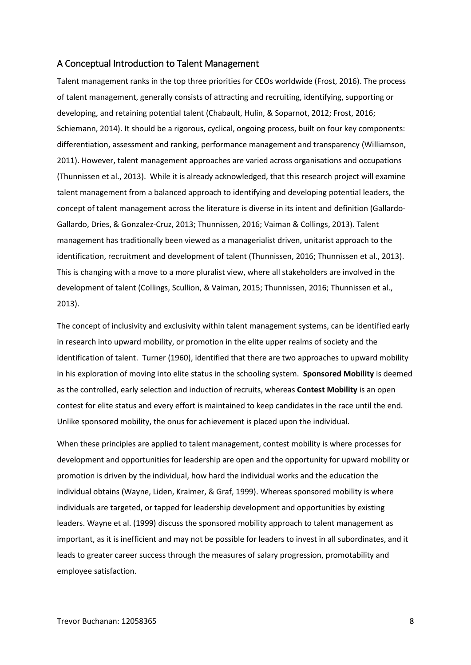#### A Conceptual Introduction to Talent Management

Talent management ranks in the top three priorities for CEOs worldwide (Frost, 2016). The process of talent management, generally consists of attracting and recruiting, identifying, supporting or developing, and retaining potential talent (Chabault, Hulin, & Soparnot, 2012; Frost, 2016; Schiemann, 2014). It should be a rigorous, cyclical, ongoing process, built on four key components: differentiation, assessment and ranking, performance management and transparency (Williamson, 2011). However, talent management approaches are varied across organisations and occupations (Thunnissen et al., 2013). While it is already acknowledged, that this research project will examine talent management from a balanced approach to identifying and developing potential leaders, the concept of talent management across the literature is diverse in its intent and definition (Gallardo-Gallardo, Dries, & Gonzalez-Cruz, 2013; Thunnissen, 2016; Vaiman & Collings, 2013). Talent management has traditionally been viewed as a managerialist driven, unitarist approach to the identification, recruitment and development of talent (Thunnissen, 2016; Thunnissen et al., 2013). This is changing with a move to a more pluralist view, where all stakeholders are involved in the development of talent (Collings, Scullion, & Vaiman, 2015; Thunnissen, 2016; Thunnissen et al., 2013).

The concept of inclusivity and exclusivity within talent management systems, can be identified early in research into upward mobility, or promotion in the elite upper realms of society and the identification of talent. Turner (1960), identified that there are two approaches to upward mobility in his exploration of moving into elite status in the schooling system. **Sponsored Mobility** is deemed as the controlled, early selection and induction of recruits, whereas **Contest Mobility** is an open contest for elite status and every effort is maintained to keep candidates in the race until the end. Unlike sponsored mobility, the onus for achievement is placed upon the individual.

When these principles are applied to talent management, contest mobility is where processes for development and opportunities for leadership are open and the opportunity for upward mobility or promotion is driven by the individual, how hard the individual works and the education the individual obtains (Wayne, Liden, Kraimer, & Graf, 1999). Whereas sponsored mobility is where individuals are targeted, or tapped for leadership development and opportunities by existing leaders. Wayne et al. (1999) discuss the sponsored mobility approach to talent management as important, as it is inefficient and may not be possible for leaders to invest in all subordinates, and it leads to greater career success through the measures of salary progression, promotability and employee satisfaction.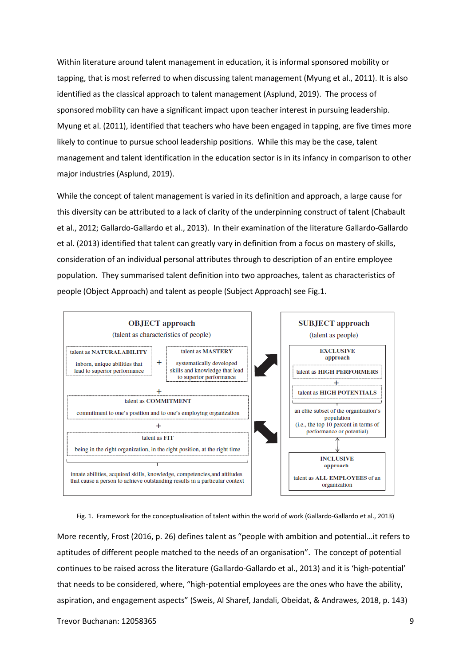Within literature around talent management in education, it is informal sponsored mobility or tapping, that is most referred to when discussing talent management (Myung et al., 2011). It is also identified as the classical approach to talent management (Asplund, 2019). The process of sponsored mobility can have a significant impact upon teacher interest in pursuing leadership. Myung et al. (2011), identified that teachers who have been engaged in tapping, are five times more likely to continue to pursue school leadership positions. While this may be the case, talent management and talent identification in the education sector is in its infancy in comparison to other major industries (Asplund, 2019).

While the concept of talent management is varied in its definition and approach, a large cause for this diversity can be attributed to a lack of clarity of the underpinning construct of talent (Chabault et al., 2012; Gallardo-Gallardo et al., 2013). In their examination of the literature Gallardo-Gallardo et al. (2013) identified that talent can greatly vary in definition from a focus on mastery of skills, consideration of an individual personal attributes through to description of an entire employee population. They summarised talent definition into two approaches, talent as characteristics of people (Object Approach) and talent as people (Subject Approach) see Fig.1.



Fig. 1. Framework for the conceptualisation of talent within the world of work (Gallardo-Gallardo et al., 2013)

More recently, Frost (2016, p. 26) defines talent as "people with ambition and potential…it refers to aptitudes of different people matched to the needs of an organisation". The concept of potential continues to be raised across the literature (Gallardo-Gallardo et al., 2013) and it is 'high-potential' that needs to be considered, where, "high-potential employees are the ones who have the ability, aspiration, and engagement aspects" (Sweis, Al Sharef, Jandali, Obeidat, & Andrawes, 2018, p. 143)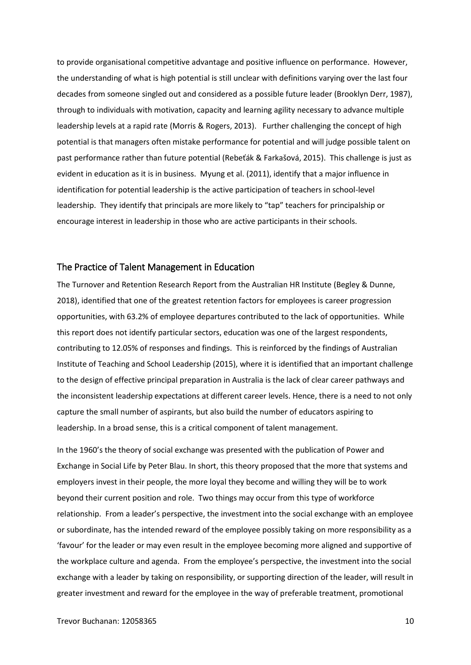to provide organisational competitive advantage and positive influence on performance. However, the understanding of what is high potential is still unclear with definitions varying over the last four decades from someone singled out and considered as a possible future leader (Brooklyn Derr, 1987), through to individuals with motivation, capacity and learning agility necessary to advance multiple leadership levels at a rapid rate (Morris & Rogers, 2013). Further challenging the concept of high potential is that managers often mistake performance for potential and will judge possible talent on past performance rather than future potential (Rebeťák & Farkašová, 2015). This challenge is just as evident in education as it is in business. Myung et al. (2011), identify that a major influence in identification for potential leadership is the active participation of teachers in school-level leadership. They identify that principals are more likely to "tap" teachers for principalship or encourage interest in leadership in those who are active participants in their schools.

## The Practice of Talent Management in Education

The Turnover and Retention Research Report from the Australian HR Institute (Begley & Dunne, 2018), identified that one of the greatest retention factors for employees is career progression opportunities, with 63.2% of employee departures contributed to the lack of opportunities. While this report does not identify particular sectors, education was one of the largest respondents, contributing to 12.05% of responses and findings. This is reinforced by the findings of Australian Institute of Teaching and School Leadership (2015), where it is identified that an important challenge to the design of effective principal preparation in Australia is the lack of clear career pathways and the inconsistent leadership expectations at different career levels. Hence, there is a need to not only capture the small number of aspirants, but also build the number of educators aspiring to leadership. In a broad sense, this is a critical component of talent management.

In the 1960's the theory of social exchange was presented with the publication of Power and Exchange in Social Life by Peter Blau. In short, this theory proposed that the more that systems and employers invest in their people, the more loyal they become and willing they will be to work beyond their current position and role. Two things may occur from this type of workforce relationship. From a leader's perspective, the investment into the social exchange with an employee or subordinate, has the intended reward of the employee possibly taking on more responsibility as a 'favour' for the leader or may even result in the employee becoming more aligned and supportive of the workplace culture and agenda. From the employee's perspective, the investment into the social exchange with a leader by taking on responsibility, or supporting direction of the leader, will result in greater investment and reward for the employee in the way of preferable treatment, promotional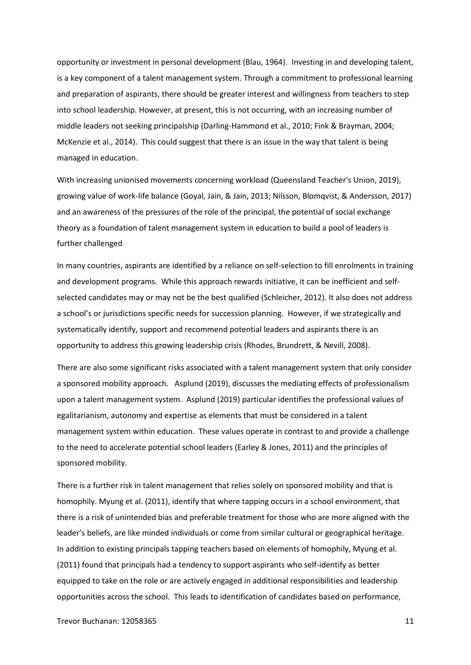opportunity or investment in personal development (Blau, 1964). Investing in and developing talent, is a key component of a talent management system. Through a commitment to professional learning and preparation of aspirants, there should be greater interest and willingness from teachers to step into school leadership. However, at present, this is not occurring, with an increasing number of middle leaders not seeking principalship (Darling-Hammond et al., 2010; Fink & Brayman, 2004; McKenzie et al., 2014). This could suggest that there is an issue in the way that talent is being managed in education.

With increasing unionised movements concerning workload (Queensland Teacher's Union, 2019), growing value of work-life balance (Goyal, Jain, & Jain, 2013; Nilsson, Blomqvist, & Andersson, 2017) and an awareness of the pressures of the role of the principal, the potential of social exchange theory as a foundation of talent management system in education to build a pool of leaders is further challenged.

In many countries, aspirants are identified by a reliance on self-selection to fill enrolments in training and development programs. While this approach rewards initiative, it can be inefficient and selfselected candidates may or may not be the best qualified (Schleicher, 2012). It also does not address a school's or jurisdictions specific needs for succession planning. However, if we strategically and systematically identify, support and recommend potential leaders and aspirants there is an opportunity to address this growing leadership crisis (Rhodes, Brundrett, & Nevill, 2008).

There are also some significant risks associated with a talent management system that only consider a sponsored mobility approach. Asplund (2019), discusses the mediating effects of professionalism upon a talent management system. Asplund (2019) particular identifies the professional values of egalitarianism, autonomy and expertise as elements that must be considered in a talent management system within education. These values operate in contrast to and provide a challenge to the need to accelerate potential school leaders (Earley & Jones, 2011) and the principles of sponsored mobility.

There is a further risk in talent management that relies solely on sponsored mobility and that is homophily. Myung et al. (2011), identify that where tapping occurs in a school environment, that there is a risk of unintended bias and preferable treatment for those who are more aligned with the leader's beliefs, are like minded individuals or come from similar cultural or geographical heritage. In addition to existing principals tapping teachers based on elements of homophily, Myung et al. (2011) found that principals had a tendency to support aspirants who self-identify as better equipped to take on the role or are actively engaged in additional responsibilities and leadership opportunities across the school. This leads to identification of candidates based on performance,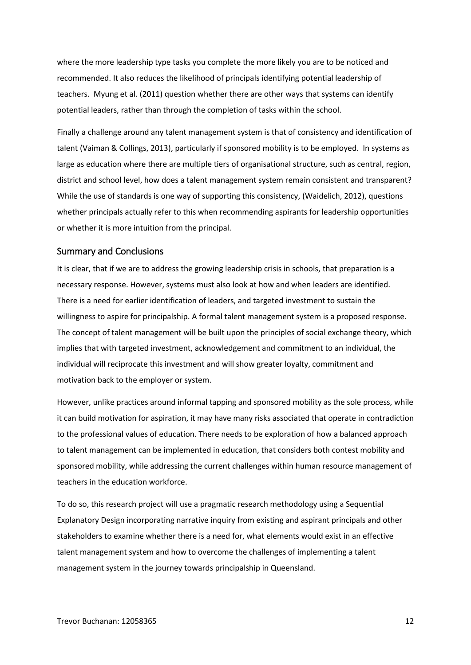where the more leadership type tasks you complete the more likely you are to be noticed and recommended. It also reduces the likelihood of principals identifying potential leadership of teachers. Myung et al. (2011) question whether there are other ways that systems can identify potential leaders, rather than through the completion of tasks within the school.

Finally a challenge around any talent management system is that of consistency and identification of talent (Vaiman & Collings, 2013), particularly if sponsored mobility is to be employed. In systems as large as education where there are multiple tiers of organisational structure, such as central, region, district and school level, how does a talent management system remain consistent and transparent? While the use of standards is one way of supporting this consistency, (Waidelich, 2012), questions whether principals actually refer to this when recommending aspirants for leadership opportunities or whether it is more intuition from the principal.

### Summary and Conclusions

It is clear, that if we are to address the growing leadership crisis in schools, that preparation is a necessary response. However, systems must also look at how and when leaders are identified. There is a need for earlier identification of leaders, and targeted investment to sustain the willingness to aspire for principalship. A formal talent management system is a proposed response. The concept of talent management will be built upon the principles of social exchange theory, which implies that with targeted investment, acknowledgement and commitment to an individual, the individual will reciprocate this investment and will show greater loyalty, commitment and motivation back to the employer or system.

However, unlike practices around informal tapping and sponsored mobility as the sole process, while it can build motivation for aspiration, it may have many risks associated that operate in contradiction to the professional values of education. There needs to be exploration of how a balanced approach to talent management can be implemented in education, that considers both contest mobility and sponsored mobility, while addressing the current challenges within human resource management of teachers in the education workforce.

To do so, this research project will use a pragmatic research methodology using a Sequential Explanatory Design incorporating narrative inquiry from existing and aspirant principals and other stakeholders to examine whether there is a need for, what elements would exist in an effective talent management system and how to overcome the challenges of implementing a talent management system in the journey towards principalship in Queensland.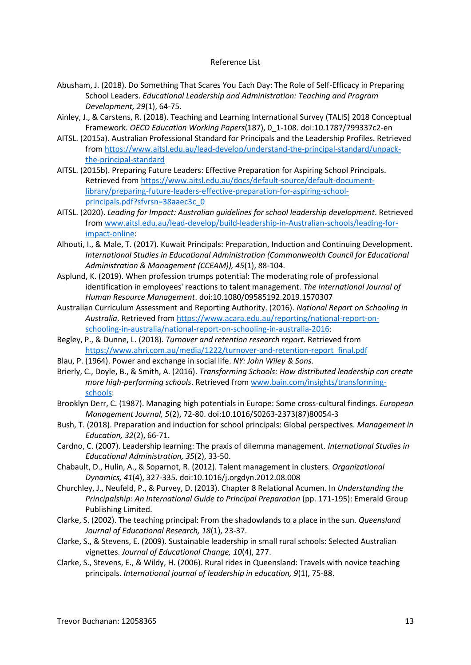#### Reference List

- Abusham, J. (2018). Do Something That Scares You Each Day: The Role of Self-Efficacy in Preparing School Leaders. *Educational Leadership and Administration: Teaching and Program Development, 29*(1), 64-75.
- Ainley, J., & Carstens, R. (2018). Teaching and Learning International Survey (TALIS) 2018 Conceptual Framework. *OECD Education Working Papers*(187), 0\_1-108. doi:10.1787/799337c2-en
- AITSL. (2015a). Australian Professional Standard for Principals and the Leadership Profiles. Retrieved from [https://www.aitsl.edu.au/lead-develop/understand-the-principal-standard/unpack](https://www.aitsl.edu.au/lead-develop/understand-the-principal-standard/unpack-the-principal-standard)[the-principal-standard](https://www.aitsl.edu.au/lead-develop/understand-the-principal-standard/unpack-the-principal-standard)
- AITSL. (2015b). Preparing Future Leaders: Effective Preparation for Aspiring School Principals. Retrieved from [https://www.aitsl.edu.au/docs/default-source/default-document](https://www.aitsl.edu.au/docs/default-source/default-document-library/preparing-future-leaders-effective-preparation-for-aspiring-school-principals.pdf?sfvrsn=38aaec3c_0)[library/preparing-future-leaders-effective-preparation-for-aspiring-school](https://www.aitsl.edu.au/docs/default-source/default-document-library/preparing-future-leaders-effective-preparation-for-aspiring-school-principals.pdf?sfvrsn=38aaec3c_0)[principals.pdf?sfvrsn=38aaec3c\\_0](https://www.aitsl.edu.au/docs/default-source/default-document-library/preparing-future-leaders-effective-preparation-for-aspiring-school-principals.pdf?sfvrsn=38aaec3c_0)
- AITSL. (2020). *Leading for Impact: Australian guidelines for school leadership development*. Retrieved from [www.aitsl.edu.au/lead-develop/build-leadership-in-Australian-schools/leading-for](https://cqu365-my.sharepoint.com/personal/t_buchanan2_cqu_edu_au/Documents/www.aitsl.edu.au/lead-develop/build-leadership-in-Australian-schools/leading-for-impact-online)[impact-online:](https://cqu365-my.sharepoint.com/personal/t_buchanan2_cqu_edu_au/Documents/www.aitsl.edu.au/lead-develop/build-leadership-in-Australian-schools/leading-for-impact-online)
- Alhouti, I., & Male, T. (2017). Kuwait Principals: Preparation, Induction and Continuing Development. *International Studies in Educational Administration (Commonwealth Council for Educational Administration & Management (CCEAM)), 45*(1), 88-104.
- Asplund, K. (2019). When profession trumps potential: The moderating role of professional identification in employees' reactions to talent management. *The International Journal of Human Resource Management*. doi:10.1080/09585192.2019.1570307
- Australian Curriculum Assessment and Reporting Authority. (2016). *National Report on Schooling in Australia*. Retrieved from [https://www.acara.edu.au/reporting/national-report-on](https://www.acara.edu.au/reporting/national-report-on-schooling-in-australia/national-report-on-schooling-in-australia-2016)[schooling-in-australia/national-report-on-schooling-in-australia-2016:](https://www.acara.edu.au/reporting/national-report-on-schooling-in-australia/national-report-on-schooling-in-australia-2016)
- Begley, P., & Dunne, L. (2018). *Turnover and retention research report*. Retrieved from [https://www.ahri.com.au/media/1222/turnover-and-retention-report\\_final.pdf](https://www.ahri.com.au/media/1222/turnover-and-retention-report_final.pdf)
- Blau, P. (1964). Power and exchange in social life. *NY: John Wiley & Sons*.
- Brierly, C., Doyle, B., & Smith, A. (2016). *Transforming Schools: How distributed leadership can create more high-performing schools*. Retrieved from [www.bain.com/insights/transforming](https://cqu365-my.sharepoint.com/personal/t_buchanan2_cqu_edu_au/Documents/www.bain.com/insights/transforming-schools)[schools:](https://cqu365-my.sharepoint.com/personal/t_buchanan2_cqu_edu_au/Documents/www.bain.com/insights/transforming-schools)
- Brooklyn Derr, C. (1987). Managing high potentials in Europe: Some cross-cultural findings. *European Management Journal, 5*(2), 72-80. doi:10.1016/S0263-2373(87)80054-3
- Bush, T. (2018). Preparation and induction for school principals: Global perspectives. *Management in Education, 32*(2), 66-71.
- Cardno, C. (2007). Leadership learning: The praxis of dilemma management. *International Studies in Educational Administration, 35*(2), 33-50.
- Chabault, D., Hulin, A., & Soparnot, R. (2012). Talent management in clusters. *Organizational Dynamics, 41*(4), 327-335. doi:10.1016/j.orgdyn.2012.08.008
- Churchley, J., Neufeld, P., & Purvey, D. (2013). Chapter 8 Relational Acumen. In *Understanding the Principalship: An International Guide to Principal Preparation* (pp. 171-195): Emerald Group Publishing Limited.
- Clarke, S. (2002). The teaching principal: From the shadowlands to a place in the sun. *Queensland Journal of Educational Research, 18*(1), 23-37.
- Clarke, S., & Stevens, E. (2009). Sustainable leadership in small rural schools: Selected Australian vignettes. *Journal of Educational Change, 10*(4), 277.
- Clarke, S., Stevens, E., & Wildy, H. (2006). Rural rides in Queensland: Travels with novice teaching principals. *International journal of leadership in education, 9*(1), 75-88.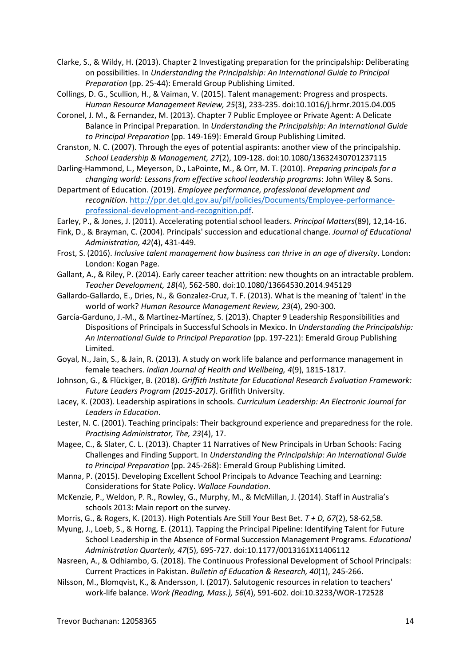- Clarke, S., & Wildy, H. (2013). Chapter 2 Investigating preparation for the principalship: Deliberating on possibilities. In *Understanding the Principalship: An International Guide to Principal Preparation* (pp. 25-44): Emerald Group Publishing Limited.
- Collings, D. G., Scullion, H., & Vaiman, V. (2015). Talent management: Progress and prospects. *Human Resource Management Review, 25*(3), 233-235. doi:10.1016/j.hrmr.2015.04.005
- Coronel, J. M., & Fernandez, M. (2013). Chapter 7 Public Employee or Private Agent: A Delicate Balance in Principal Preparation. In *Understanding the Principalship: An International Guide to Principal Preparation* (pp. 149-169): Emerald Group Publishing Limited.
- Cranston, N. C. (2007). Through the eyes of potential aspirants: another view of the principalship. *School Leadership & Management, 27*(2), 109-128. doi:10.1080/13632430701237115
- Darling-Hammond, L., Meyerson, D., LaPointe, M., & Orr, M. T. (2010). *Preparing principals for a changing world: Lessons from effective school leadership programs*: John Wiley & Sons.
- Department of Education. (2019). *Employee performance, professional development and recognition*. [http://ppr.det.qld.gov.au/pif/policies/Documents/Employee-performance](http://ppr.det.qld.gov.au/pif/policies/Documents/Employee-performance-professional-development-and-recognition.pdf)[professional-development-and-recognition.pdf.](http://ppr.det.qld.gov.au/pif/policies/Documents/Employee-performance-professional-development-and-recognition.pdf)
- Earley, P., & Jones, J. (2011). Accelerating potential school leaders. *Principal Matters*(89), 12,14-16.
- Fink, D., & Brayman, C. (2004). Principals' succession and educational change. *Journal of Educational Administration, 42*(4), 431-449.
- Frost, S. (2016). *Inclusive talent management how business can thrive in an age of diversity*. London: London: Kogan Page.
- Gallant, A., & Riley, P. (2014). Early career teacher attrition: new thoughts on an intractable problem. *Teacher Development, 18*(4), 562-580. doi:10.1080/13664530.2014.945129
- Gallardo-Gallardo, E., Dries, N., & Gonzalez-Cruz, T. F. (2013). What is the meaning of 'talent' in the world of work? *Human Resource Management Review, 23*(4), 290-300.
- García-Garduno, J.-M., & Martínez-Martínez, S. (2013). Chapter 9 Leadership Responsibilities and Dispositions of Principals in Successful Schools in Mexico. In *Understanding the Principalship: An International Guide to Principal Preparation* (pp. 197-221): Emerald Group Publishing Limited.
- Goyal, N., Jain, S., & Jain, R. (2013). A study on work life balance and performance management in female teachers. *Indian Journal of Health and Wellbeing, 4*(9), 1815-1817.
- Johnson, G., & Flückiger, B. (2018). *Griffith Institute for Educational Research Evaluation Framework: Future Leaders Program (2015-2017)*. Griffith University.
- Lacey, K. (2003). Leadership aspirations in schools. *Curriculum Leadership: An Electronic Journal for Leaders in Education*.
- Lester, N. C. (2001). Teaching principals: Their background experience and preparedness for the role. *Practising Administrator, The, 23*(4), 17.
- Magee, C., & Slater, C. L. (2013). Chapter 11 Narratives of New Principals in Urban Schools: Facing Challenges and Finding Support. In *Understanding the Principalship: An International Guide to Principal Preparation* (pp. 245-268): Emerald Group Publishing Limited.
- Manna, P. (2015). Developing Excellent School Principals to Advance Teaching and Learning: Considerations for State Policy. *Wallace Foundation*.
- McKenzie, P., Weldon, P. R., Rowley, G., Murphy, M., & McMillan, J. (2014). Staff in Australia's schools 2013: Main report on the survey.
- Morris, G., & Rogers, K. (2013). High Potentials Are Still Your Best Bet. *T + D, 67*(2), 58-62,58.
- Myung, J., Loeb, S., & Horng, E. (2011). Tapping the Principal Pipeline: Identifying Talent for Future School Leadership in the Absence of Formal Succession Management Programs. *Educational Administration Quarterly, 47*(5), 695-727. doi:10.1177/0013161X11406112
- Nasreen, A., & Odhiambo, G. (2018). The Continuous Professional Development of School Principals: Current Practices in Pakistan. *Bulletin of Education & Research, 40*(1), 245-266.
- Nilsson, M., Blomqvist, K., & Andersson, I. (2017). Salutogenic resources in relation to teachers' work-life balance. *Work (Reading, Mass.), 56*(4), 591-602. doi:10.3233/WOR-172528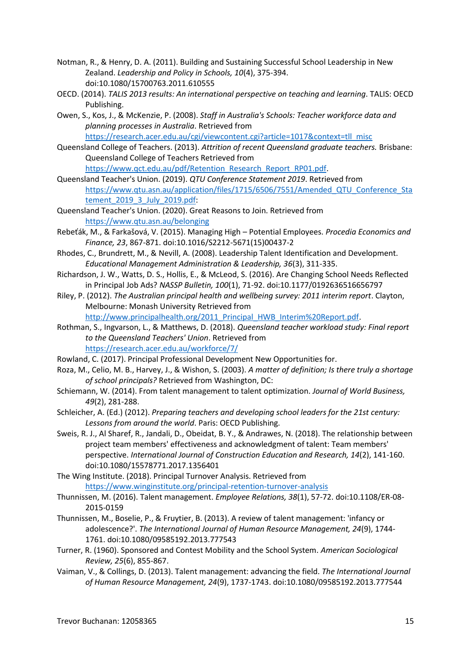- Notman, R., & Henry, D. A. (2011). Building and Sustaining Successful School Leadership in New Zealand. *Leadership and Policy in Schools, 10*(4), 375-394. doi:10.1080/15700763.2011.610555
- OECD. (2014). *TALIS 2013 results: An international perspective on teaching and learning*. TALIS: OECD Publishing.
- Owen, S., Kos, J., & McKenzie, P. (2008). *Staff in Australia's Schools: Teacher workforce data and planning processes in Australia*. Retrieved from [https://research.acer.edu.au/cgi/viewcontent.cgi?article=1017&context=tll\\_misc](https://research.acer.edu.au/cgi/viewcontent.cgi?article=1017&context=tll_misc)
- Queensland College of Teachers. (2013). *Attrition of recent Queensland graduate teachers.* Brisbane: Queensland College of Teachers Retrieved from

[https://www.qct.edu.au/pdf/Retention\\_Research\\_Report\\_RP01.pdf.](https://www.qct.edu.au/pdf/Retention_Research_Report_RP01.pdf) Queensland Teacher's Union. (2019). *QTU Conference Statement 2019*. Retrieved from

[https://www.qtu.asn.au/application/files/1715/6506/7551/Amended\\_QTU\\_Conference\\_Sta](https://www.qtu.asn.au/application/files/1715/6506/7551/Amended_QTU_Conference_Statement_2019_3_July_2019.pdf) [tement\\_2019\\_3\\_July\\_2019.pdf:](https://www.qtu.asn.au/application/files/1715/6506/7551/Amended_QTU_Conference_Statement_2019_3_July_2019.pdf)

- Queensland Teacher's Union. (2020). Great Reasons to Join. Retrieved from <https://www.qtu.asn.au/belonging>
- Rebeťák, M., & Farkašová, V. (2015). Managing High Potential Employees. *Procedia Economics and Finance, 23*, 867-871. doi:10.1016/S2212-5671(15)00437-2
- Rhodes, C., Brundrett, M., & Nevill, A. (2008). Leadership Talent Identification and Development. *Educational Management Administration & Leadership, 36*(3), 311-335.
- Richardson, J. W., Watts, D. S., Hollis, E., & McLeod, S. (2016). Are Changing School Needs Reflected in Principal Job Ads? *NASSP Bulletin, 100*(1), 71-92. doi:10.1177/0192636516656797
- Riley, P. (2012). *The Australian principal health and wellbeing survey: 2011 interim report*. Clayton, Melbourne: Monash University Retrieved from [http://www.principalhealth.org/2011\\_Principal\\_HWB\\_Interim%20Report.pdf.](http://www.principalhealth.org/2011_Principal_HWB_Interim%20Report.pdf)

Rothman, S., Ingvarson, L., & Matthews, D. (2018). *Queensland teacher workload study: Final report to the Queensland Teachers' Union*. Retrieved from

<https://research.acer.edu.au/workforce/7/>

Rowland, C. (2017). Principal Professional Development New Opportunities for.

- Roza, M., Celio, M. B., Harvey, J., & Wishon, S. (2003). *A matter of definition; Is there truly a shortage of school principals?* Retrieved from Washington, DC:
- Schiemann, W. (2014). From talent management to talent optimization. *Journal of World Business, 49*(2), 281-288.
- Schleicher, A. (Ed.) (2012). *Preparing teachers and developing school leaders for the 21st century: Lessons from around the world*. Paris: OECD Publishing.
- Sweis, R. J., Al Sharef, R., Jandali, D., Obeidat, B. Y., & Andrawes, N. (2018). The relationship between project team members' effectiveness and acknowledgment of talent: Team members' perspective. *International Journal of Construction Education and Research, 14*(2), 141-160. doi:10.1080/15578771.2017.1356401
- The Wing Institute. (2018). Principal Turnover Analysis. Retrieved from <https://www.winginstitute.org/principal-retention-turnover-analysis>
- Thunnissen, M. (2016). Talent management. *Employee Relations, 38*(1), 57-72. doi:10.1108/ER-08- 2015-0159
- Thunnissen, M., Boselie, P., & Fruytier, B. (2013). A review of talent management: 'infancy or adolescence?'. *The International Journal of Human Resource Management, 24*(9), 1744- 1761. doi:10.1080/09585192.2013.777543
- Turner, R. (1960). Sponsored and Contest Mobility and the School System. *American Sociological Review, 25*(6), 855-867.
- Vaiman, V., & Collings, D. (2013). Talent management: advancing the field. *The International Journal of Human Resource Management, 24*(9), 1737-1743. doi:10.1080/09585192.2013.777544